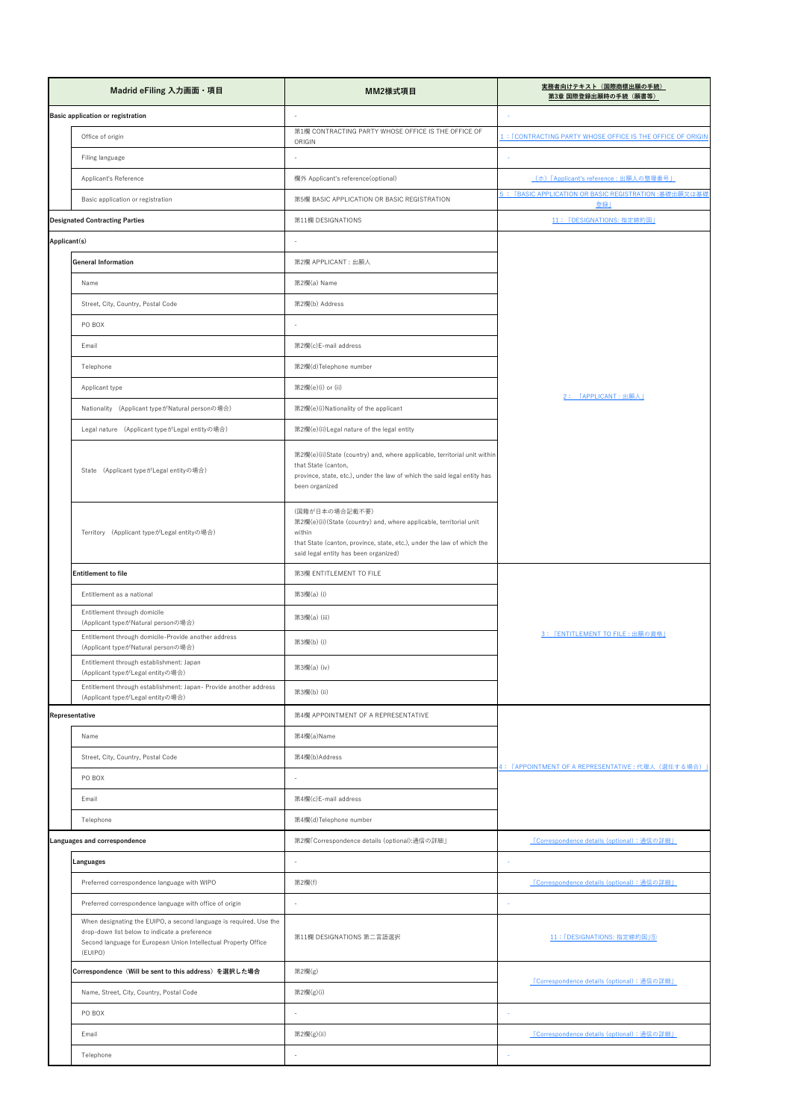| Madrid eFiling 入力画面・項目            |                                                                                                                             | MM2様式項目                                                                                                         | 実務者向けテキスト (国際商標出願の手続)<br>第3章 国際登録出願時の手続 (願書等)                |
|-----------------------------------|-----------------------------------------------------------------------------------------------------------------------------|-----------------------------------------------------------------------------------------------------------------|--------------------------------------------------------------|
| Basic application or registration |                                                                                                                             |                                                                                                                 |                                                              |
|                                   | Office of origin                                                                                                            | 第1欄 CONTRACTING PARTY WHOSE OFFICE IS THE OFFICE OF<br>ORIGIN                                                   | 1 : [CONTRACTING PARTY WHOSE OFFICE IS THE OFFICE OF ORIGIN  |
|                                   | Filing language                                                                                                             | $\sim$                                                                                                          | $\sim$                                                       |
|                                   | Applicant's Reference                                                                                                       | 欄外 Applicant's reference(optional)                                                                              | (ホ)「Applicant's reference : 出願人の整理番号」                        |
|                                   | Basic application or registration                                                                                           | 第5欄 BASIC APPLICATION OR BASIC REGISTRATION                                                                     | 5: 「BASIC APPLICATION OR BASIC REGISTRATION :基礎出願又は基礎<br>登録」 |
|                                   | <b>Designated Contracting Parties</b>                                                                                       | 第11欄 DESIGNATIONS                                                                                               | 11: 「DESIGNATIONS: 指定締約国」                                    |
| Applicant(s)                      |                                                                                                                             | $\sim$                                                                                                          |                                                              |
|                                   | <b>General Information</b>                                                                                                  | 第2欄 APPLICANT: 出願人                                                                                              |                                                              |
|                                   | Name                                                                                                                        | 第2欄(a) Name                                                                                                     |                                                              |
|                                   | Street, City, Country, Postal Code                                                                                          | 第2欄(b) Address                                                                                                  |                                                              |
|                                   | PO BOX                                                                                                                      |                                                                                                                 |                                                              |
|                                   | Email                                                                                                                       | 第2欄(c)E-mail address                                                                                            |                                                              |
|                                   | Telephone                                                                                                                   | 第2欄(d)Telephone number                                                                                          |                                                              |
|                                   | Applicant type                                                                                                              | 第2欄(e)(i) or (ii)                                                                                               |                                                              |
|                                   | Nationality (Applicant typeがNatural personの場合)                                                                              | 第2欄(e)(i)Nationality of the applicant                                                                           | 2: 「APPLICANT: 出願人」                                          |
|                                   | Legal nature (Applicant typeがLegal entityの場合)                                                                               | 第2欄(e)(ii)Legal nature of the legal entity                                                                      |                                                              |
|                                   |                                                                                                                             |                                                                                                                 |                                                              |
|                                   | State (Applicant typeがLegal entityの場合)                                                                                      | 第2欄(e)(ii)State (country) and, where applicable, territorial unit within<br>that State (canton,                 |                                                              |
|                                   |                                                                                                                             | province, state, etc.), under the law of which the said legal entity has<br>been organized                      |                                                              |
|                                   |                                                                                                                             | (国籍が日本の場合記載不要)                                                                                                  |                                                              |
|                                   | Territory (Applicant typeがLegal entityの場合)                                                                                  | 第2欄(e)(ii)(State (country) and, where applicable, territorial unit<br>within                                    |                                                              |
|                                   |                                                                                                                             | that State (canton, province, state, etc.), under the law of which the<br>said legal entity has been organized) |                                                              |
|                                   | Entitlement to file                                                                                                         | 第3欄 ENTITLEMENT TO FILE                                                                                         |                                                              |
|                                   | Entitlement as a national                                                                                                   | 第3欄(a) (i)                                                                                                      |                                                              |
|                                   | Entitlement through domicile<br>(Applicant typeがNatural personの場合)                                                          | 第3欄(a) (iii)                                                                                                    |                                                              |
|                                   | Entitlement through domicile-Provide another address<br>(Applicant typeがNatural personの場合)                                  | 第3欄(b) (i)                                                                                                      | 3: 「ENTITLEMENT TO FILE: 出願の資格」                              |
|                                   | Entitlement through establishment: Japan<br>(Applicant typeがLegal entityの場合)                                                | 第3欄(a) (iv)                                                                                                     |                                                              |
|                                   | Entitlement through establishment: Japan- Provide another address<br>(Applicant typeがLegal entityの場合)                       | 第3欄(b) (ii)                                                                                                     |                                                              |
|                                   | Representative                                                                                                              | 第4欄 APPOINTMENT OF A REPRESENTATIVE                                                                             |                                                              |
|                                   | Name                                                                                                                        | 第4欄(a)Name                                                                                                      |                                                              |
|                                   | Street, City, Country, Postal Code                                                                                          | 第4欄(b)Address                                                                                                   |                                                              |
|                                   | PO BOX                                                                                                                      |                                                                                                                 | 4:「APPOINTMENT OF A REPRESENTATIVE : 代理人(選任する場合)             |
|                                   | Email                                                                                                                       | 第4欄(c)E-mail address                                                                                            |                                                              |
|                                   | Telephone                                                                                                                   | 第4欄(d)Telephone number                                                                                          |                                                              |
|                                   | Languages and correspondence                                                                                                | 第2欄「Correspondence details (optional):通信の詳細」                                                                    | 「Correspondence details (optional):通信の詳細」                    |
|                                   | Languages                                                                                                                   | $\sim$                                                                                                          |                                                              |
|                                   | Preferred correspondence language with WIPO                                                                                 | 第2欄(f)                                                                                                          | <u> 「Correspondence details (optional):通信の詳細」</u>            |
|                                   | Preferred correspondence language with office of origin                                                                     |                                                                                                                 |                                                              |
|                                   | When designating the EUIPO, a second language is required. Use the                                                          |                                                                                                                 |                                                              |
|                                   | drop-down list below to indicate a preference<br>Second language for European Union Intellectual Property Office<br>(EUIPO) | 第11欄 DESIGNATIONS 第二言語選択                                                                                        | 11: 「DESIGNATIONS: 指定締約国」5                                   |
|                                   | Correspondence (Will be sent to this address) を選択した場合                                                                       | 第2欄(g)                                                                                                          |                                                              |
|                                   | Name, Street, City, Country, Postal Code                                                                                    | 第2欄(g)(i)                                                                                                       | 「Correspondence details (optional): 通信の詳細」                   |
|                                   | PO BOX                                                                                                                      |                                                                                                                 |                                                              |
|                                   | Email                                                                                                                       | 第2欄(g)(ii)                                                                                                      | 「Correspondence details (optional): 通信の詳細」                   |
|                                   | Telephone                                                                                                                   | ÷                                                                                                               | $\sim$                                                       |